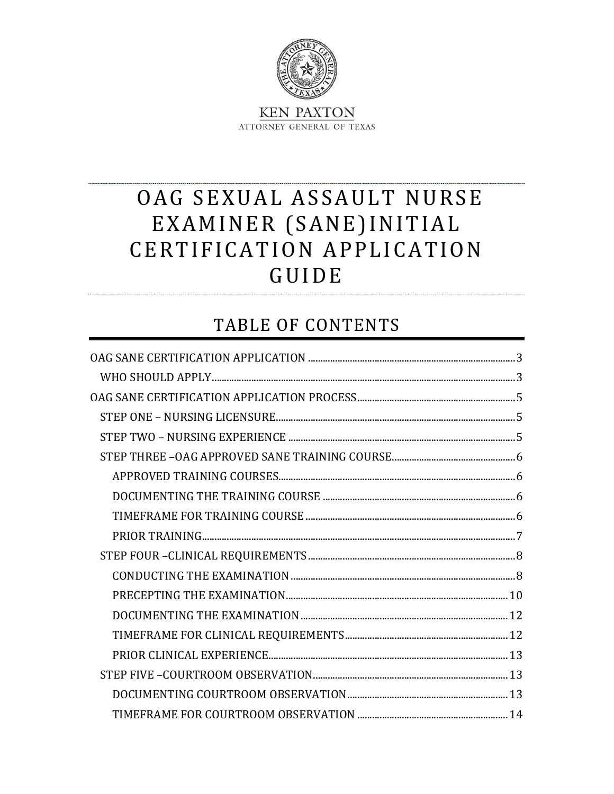

# OAG SEXUAL ASSAULT NURSE EXAMINER (SANE) INITIAL CERTIFICATION APPLICATION GUIDE

# **TABLE OF CONTENTS**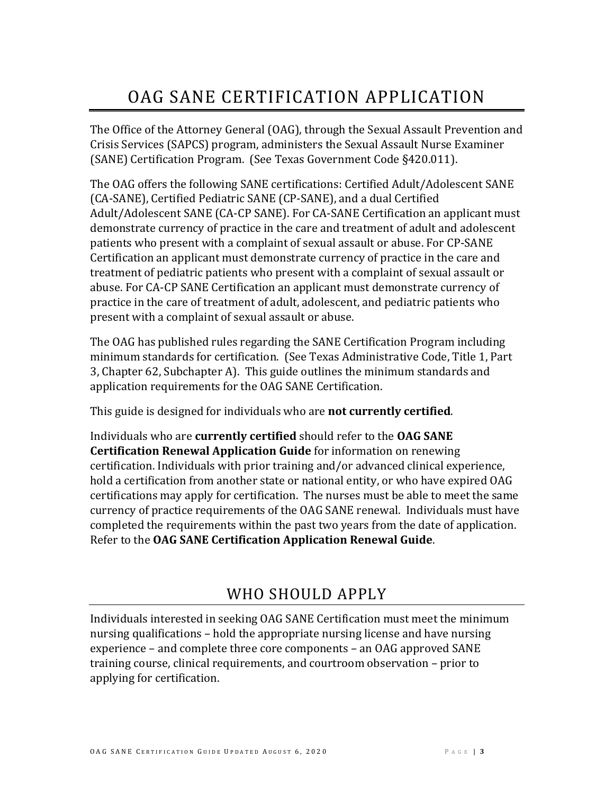# OAG SANE CERTIFICATION APPLICATION

<span id="page-2-0"></span>The Office of the Attorney General (OAG), through the Sexual Assault Prevention and Crisis Services (SAPCS) program, administers the Sexual Assault Nurse Examiner (SANE) Certification Program. (See Texas Government Code §420.011).

The OAG offers the following SANE certifications: Certified Adult/Adolescent SANE (CA-SANE), Certified Pediatric SANE (CP-SANE), and a dual Certified Adult/Adolescent SANE (CA-CP SANE). For CA-SANE Certification an applicant must demonstrate currency of practice in the care and treatment of adult and adolescent patients who present with a complaint of sexual assault or abuse. For CP-SANE Certification an applicant must demonstrate currency of practice in the care and treatment of pediatric patients who present with a complaint of sexual assault or abuse. For CA-CP SANE Certification an applicant must demonstrate currency of practice in the care of treatment of adult, adolescent, and pediatric patients who present with a complaint of sexual assault or abuse.

The OAG has published rules regarding the SANE Certification Program including minimum standards for certification. (See Texas Administrative Code, Title 1, Part 3, Chapter 62, Subchapter A). This guide outlines the minimum standards and application requirements for the OAG SANE Certification.

This guide is designed for individuals who are **not currently certified**.

Individuals who are **currently certified** should refer to the **OAG SANE Certification Renewal Application Guide** for information on renewing certification. Individuals with prior training and/or advanced clinical experience, hold a certification from another state or national entity, or who have expired OAG certifications may apply for certification. The nurses must be able to meet the same currency of practice requirements of the OAG SANE renewal. Individuals must have completed the requirements within the past two years from the date of application. Refer to the **OAG SANE Certification Application Renewal Guide**.

## WHO SHOULD APPLY

<span id="page-2-1"></span>Individuals interested in seeking OAG SANE Certification must meet the minimum nursing qualifications – hold the appropriate nursing license and have nursing experience – and complete three core components – an OAG approved SANE training course, clinical requirements, and courtroom observation – prior to applying for certification.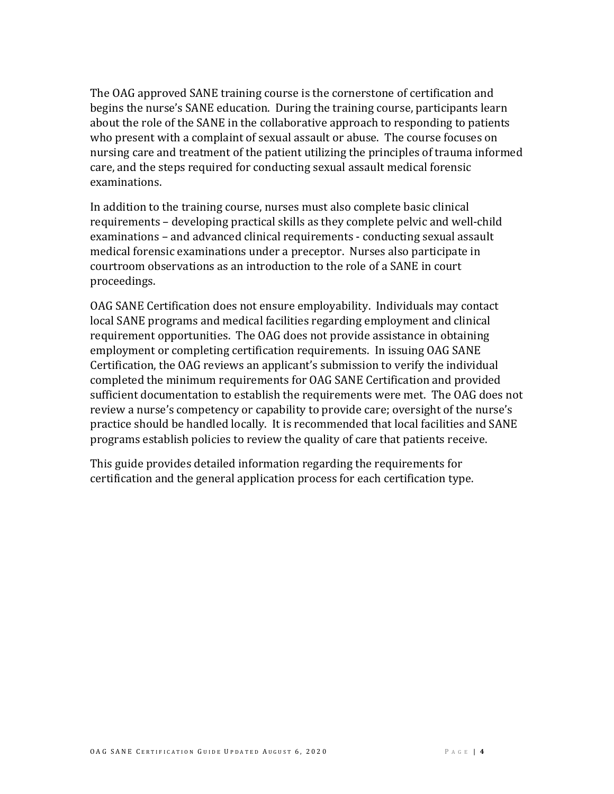The OAG approved SANE training course is the cornerstone of certification and begins the nurse's SANE education. During the training course, participants learn about the role of the SANE in the collaborative approach to responding to patients who present with a complaint of sexual assault or abuse. The course focuses on nursing care and treatment of the patient utilizing the principles of trauma informed care, and the steps required for conducting sexual assault medical forensic examinations.

In addition to the training course, nurses must also complete basic clinical requirements – developing practical skills as they complete pelvic and well-child examinations – and advanced clinical requirements - conducting sexual assault medical forensic examinations under a preceptor. Nurses also participate in courtroom observations as an introduction to the role of a SANE in court proceedings.

OAG SANE Certification does not ensure employability. Individuals may contact local SANE programs and medical facilities regarding employment and clinical requirement opportunities. The OAG does not provide assistance in obtaining employment or completing certification requirements. In issuing OAG SANE Certification, the OAG reviews an applicant's submission to verify the individual completed the minimum requirements for OAG SANE Certification and provided sufficient documentation to establish the requirements were met. The OAG does not review a nurse's competency or capability to provide care; oversight of the nurse's practice should be handled locally. It is recommended that local facilities and SANE programs establish policies to review the quality of care that patients receive.

This guide provides detailed information regarding the requirements for certification and the general application process for each certification type.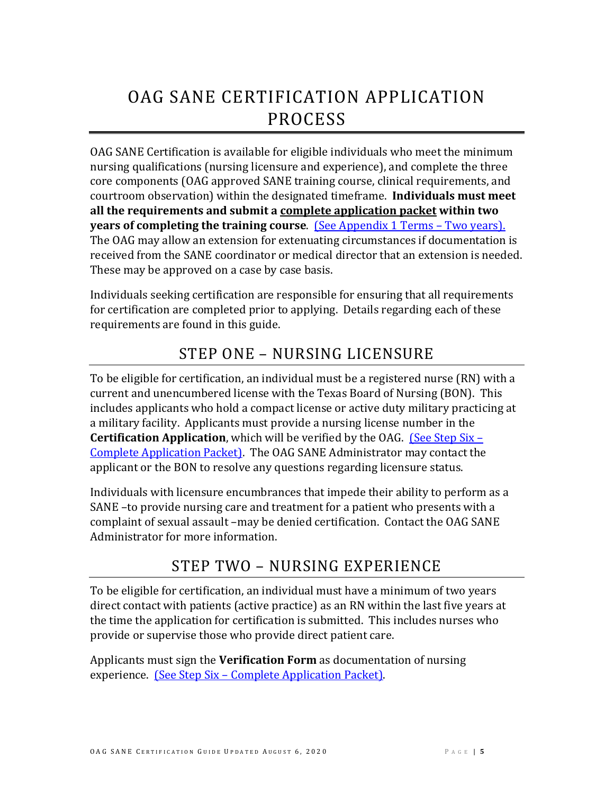# <span id="page-4-0"></span>OAG SANE CERTIFICATION APPLICATION PROCESS

OAG SANE Certification is available for eligible individuals who meet the minimum nursing qualifications (nursing licensure and experience), and complete the three core components (OAG approved SANE training course, clinical requirements, and courtroom observation) within the designated timeframe. **Individuals must meet all the requirements and submit a complete application packet within two years of completing the training course**. [\(See Appendix 1](#page-21-0) Terms – Two years). The OAG may allow an extension for extenuating circumstances if documentation is received from the SANE coordinator or medical director that an extension is needed. These may be approved on a case by case basis.

Individuals seeking certification are responsible for ensuring that all requirements for certification are completed prior to applying. Details regarding each of these requirements are found in this guide.

## STEP ONE – NURSING LICENSURE

<span id="page-4-1"></span>To be eligible for certification, an individual must be a registered nurse (RN) with a current and unencumbered license with the Texas Board of Nursing (BON). This includes applicants who hold a compact license or active duty military practicing at a military facility. Applicants must provide a nursing license number in the **Certification Application**, which will be verified by the OAG. [\(See Step Six –](#page-13-2) [Complete Application Packet\).](#page-13-2) The OAG SANE Administrator may contact the applicant or the BON to resolve any questions regarding licensure status.

Individuals with licensure encumbrances that impede their ability to perform as a SANE –to provide nursing care and treatment for a patient who presents with a complaint of sexual assault –may be denied certification. Contact the OAG SANE Administrator for more information.

## STEP TWO – NURSING EXPERIENCE

<span id="page-4-2"></span>To be eligible for certification, an individual must have a minimum of two years direct contact with patients (active practice) as an RN within the last five years at the time the application for certification is submitted. This includes nurses who provide or supervise those who provide direct patient care.

Applicants must sign the **Verification Form** as documentation of nursing experience. (See Step Six – [Complete Application Packet\).](#page-13-2)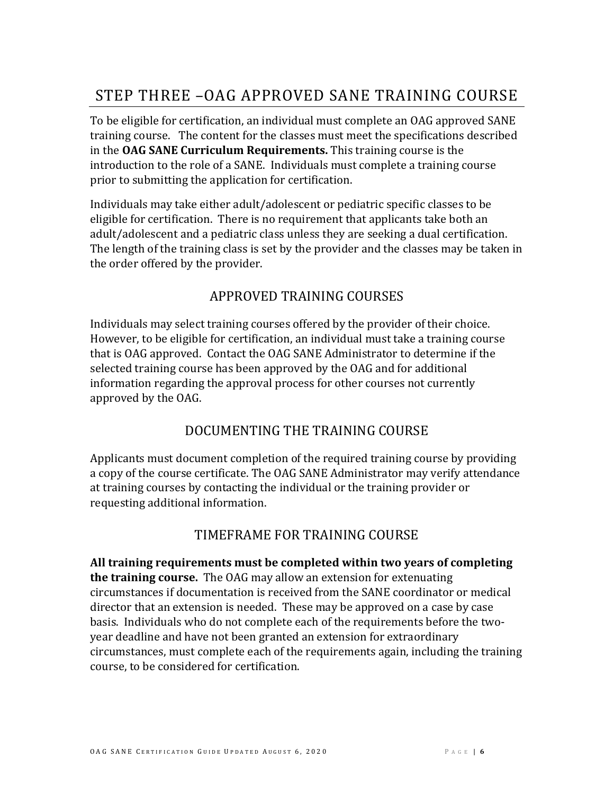## <span id="page-5-0"></span>STEP THREE –OAG APPROVED SANE TRAINING COURSE

To be eligible for certification, an individual must complete an OAG approved SANE training course. The content for the classes must meet the specifications described in the **OAG SANE Curriculum Requirements.** This training course is the introduction to the role of a SANE.Individuals must complete a training course prior to submitting the application for certification.

Individuals may take either adult/adolescent or pediatric specific classes to be eligible for certification. There is no requirement that applicants take both an adult/adolescent and a pediatric class unless they are seeking a dual certification. The length of the training class is set by the provider and the classes may be taken in the order offered by the provider.

### APPROVED TRAINING COURSES

<span id="page-5-1"></span>Individuals may select training courses offered by the provider of their choice. However, to be eligible for certification, an individual must take a training course that is OAG approved. Contact the OAG SANE Administrator to determine if the selected training course has been approved by the OAG and for additional information regarding the approval process for other courses not currently approved by the OAG.

### DOCUMENTING THE TRAINING COURSE

<span id="page-5-2"></span>Applicants must document completion of the required training course by providing a copy of the course certificate. The OAG SANE Administrator may verify attendance at training courses by contacting the individual or the training provider or requesting additional information.

### TIMEFRAME FOR TRAINING COURSE

<span id="page-5-3"></span>**All training requirements must be completed within two years of completing the training course.** The OAG may allow an extension for extenuating circumstances if documentation is received from the SANE coordinator or medical director that an extension is needed. These may be approved on a case by case basis. Individuals who do not complete each of the requirements before the twoyear deadline and have not been granted an extension for extraordinary circumstances, must complete each of the requirements again, including the training course, to be considered for certification.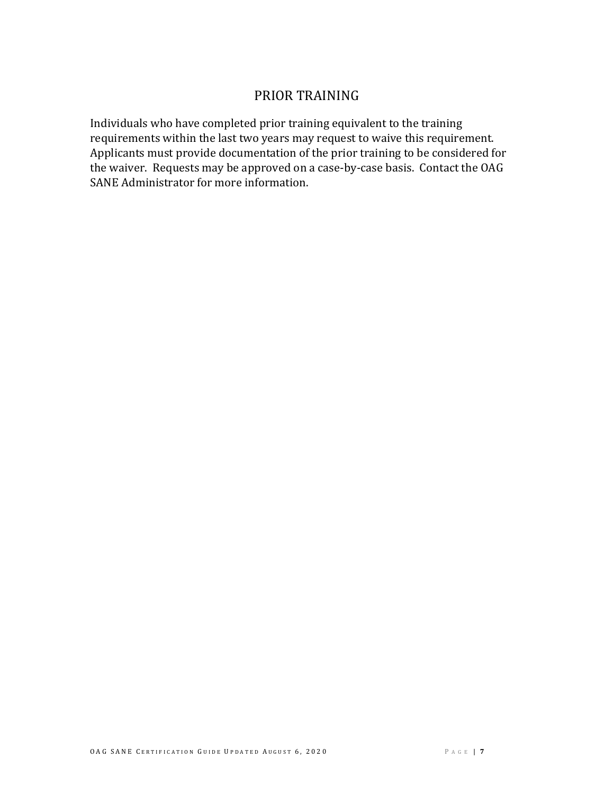### PRIOR TRAINING

<span id="page-6-0"></span>Individuals who have completed prior training equivalent to the training requirements within the last two years may request to waive this requirement. Applicants must provide documentation of the prior training to be considered for the waiver. Requests may be approved on a case-by-case basis. Contact the OAG SANE Administrator for more information.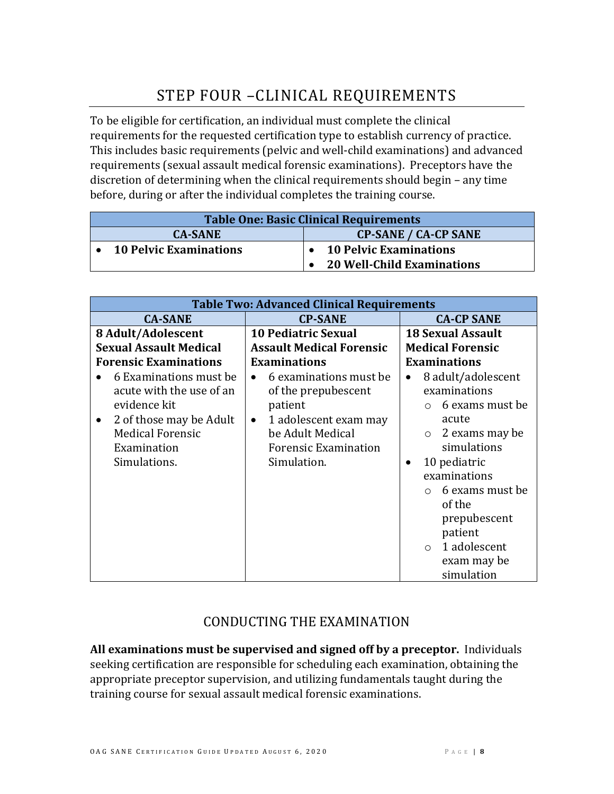## STEP FOUR –CLINICAL REQUIREMENTS

<span id="page-7-0"></span>To be eligible for certification, an individual must complete the clinical requirements for the requested certification type to establish currency of practice. This includes basic requirements (pelvic and well-child examinations) and advanced requirements (sexual assault medical forensic examinations). Preceptors have the discretion of determining when the clinical requirements should begin – any time before, during or after the individual completes the training course.

| <b>Table One: Basic Clinical Requirements</b> |                               |                                                                    |                             |  |  |  |
|-----------------------------------------------|-------------------------------|--------------------------------------------------------------------|-----------------------------|--|--|--|
|                                               | <b>CA-SANE</b>                |                                                                    | <b>CP-SANE / CA-CP SANE</b> |  |  |  |
|                                               | <b>10 Pelvic Examinations</b> | <b>10 Pelvic Examinations</b><br><b>20 Well-Child Examinations</b> |                             |  |  |  |

| <b>Table Two: Advanced Clinical Requirements</b>                                                                                                                     |                                                                                                                                                                               |                                                                                                                                                                                                                                                                           |  |  |  |  |  |  |
|----------------------------------------------------------------------------------------------------------------------------------------------------------------------|-------------------------------------------------------------------------------------------------------------------------------------------------------------------------------|---------------------------------------------------------------------------------------------------------------------------------------------------------------------------------------------------------------------------------------------------------------------------|--|--|--|--|--|--|
| <b>CA-SANE</b>                                                                                                                                                       | <b>CP-SANE</b>                                                                                                                                                                | <b>CA-CP SANE</b>                                                                                                                                                                                                                                                         |  |  |  |  |  |  |
| 8 Adult/Adolescent                                                                                                                                                   | <b>10 Pediatric Sexual</b>                                                                                                                                                    | <b>18 Sexual Assault</b>                                                                                                                                                                                                                                                  |  |  |  |  |  |  |
| <b>Sexual Assault Medical</b>                                                                                                                                        | <b>Assault Medical Forensic</b>                                                                                                                                               | <b>Medical Forensic</b>                                                                                                                                                                                                                                                   |  |  |  |  |  |  |
| <b>Forensic Examinations</b>                                                                                                                                         | <b>Examinations</b>                                                                                                                                                           | <b>Examinations</b>                                                                                                                                                                                                                                                       |  |  |  |  |  |  |
| 6 Examinations must be<br>acute with the use of an<br>evidence kit<br>2 of those may be Adult<br>$\bullet$<br><b>Medical Forensic</b><br>Examination<br>Simulations. | 6 examinations must be<br>$\bullet$<br>of the prepubescent<br>patient<br>1 adolescent exam may<br>$\bullet$<br>be Adult Medical<br><b>Forensic Examination</b><br>Simulation. | 8 adult/adolescent<br>examinations<br>6 exams must be<br>acute<br>2 exams may be<br>$\circ$<br>simulations<br>10 pediatric<br>$\bullet$<br>examinations<br>6 exams must be<br>of the<br>prepubescent<br>patient<br>1 adolescent<br>$\bigcap$<br>exam may be<br>simulation |  |  |  |  |  |  |

### CONDUCTING THE EXAMINATION

<span id="page-7-1"></span>**All examinations must be supervised and signed off by a preceptor.** Individuals seeking certification are responsible for scheduling each examination, obtaining the appropriate preceptor supervision, and utilizing fundamentals taught during the training course for sexual assault medical forensic examinations.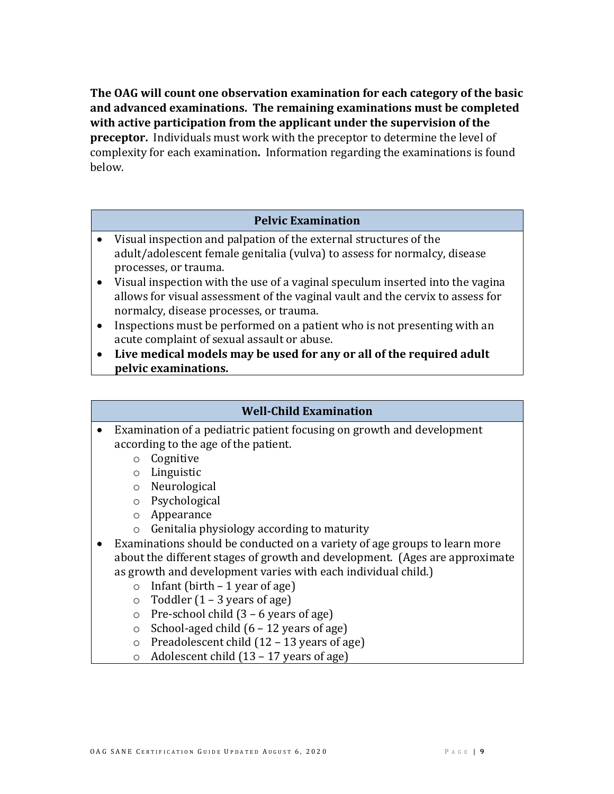**The OAG will count one observation examination for each category of the basic and advanced examinations. The remaining examinations must be completed with active participation from the applicant under the supervision of the preceptor.** Individuals must work with the preceptor to determine the level of complexity for each examination**.** Information regarding the examinations is found below.

#### **Pelvic Examination**

- Visual inspection and palpation of the external structures of the adult/adolescent female genitalia (vulva) to assess for normalcy, disease processes, or trauma.
- Visual inspection with the use of a vaginal speculum inserted into the vagina allows for visual assessment of the vaginal vault and the cervix to assess for normalcy, disease processes, or trauma.
- Inspections must be performed on a patient who is not presenting with an acute complaint of sexual assault or abuse.
- **Live medical models may be used for any or all of the required adult pelvic examinations.**

#### **Well-Child Examination**

- Examination of a pediatric patient focusing on growth and development according to the age of the patient.
	- o Cognitive
	- o Linguistic
	- o Neurological
	- o Psychological
	- o Appearance
	- o Genitalia physiology according to maturity
- Examinations should be conducted on a variety of age groups to learn more about the different stages of growth and development. (Ages are approximate as growth and development varies with each individual child.)
	- $\circ$  Infant (birth 1 year of age)
	- $\circ$  Toddler (1 3 years of age)
	- $\circ$  Pre-school child (3 6 years of age)
	- $\circ$  School-aged child  $(6 12 \text{ years of age})$
	- $\circ$  Preadolescent child (12 13 years of age)
	- o Adolescent child (13 17 years of age)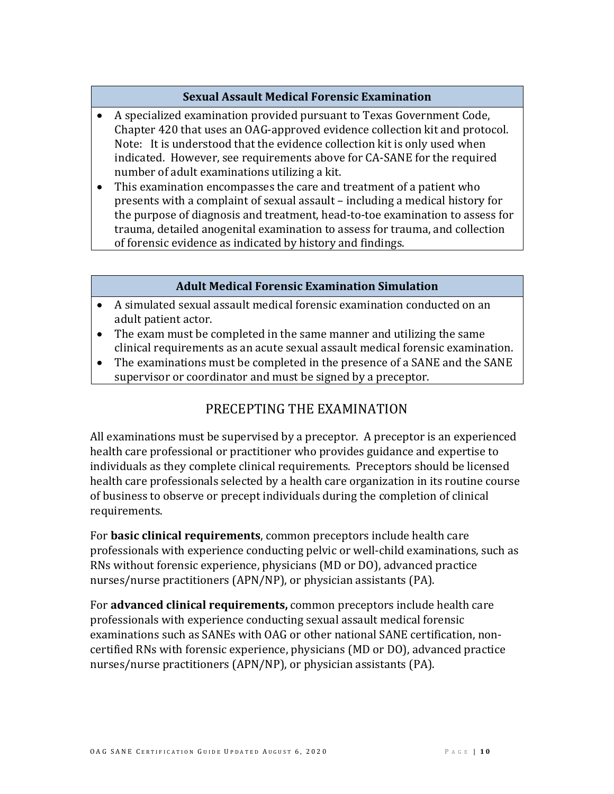#### **Sexual Assault Medical Forensic Examination**

- A specialized examination provided pursuant to Texas Government Code, Chapter 420 that uses an OAG-approved evidence collection kit and protocol. Note: It is understood that the evidence collection kit is only used when indicated. However, see requirements above for CA-SANE for the required number of adult examinations utilizing a kit.
- This examination encompasses the care and treatment of a patient who presents with a complaint of sexual assault – including a medical history for the purpose of diagnosis and treatment, head-to-toe examination to assess for trauma, detailed anogenital examination to assess for trauma, and collection of forensic evidence as indicated by history and findings.

#### **Adult Medical Forensic Examination Simulation**

- A simulated sexual assault medical forensic examination conducted on an adult patient actor.
- The exam must be completed in the same manner and utilizing the same clinical requirements as an acute sexual assault medical forensic examination.
- <span id="page-9-0"></span>• The examinations must be completed in the presence of a SANE and the SANE supervisor or coordinator and must be signed by a preceptor.

### PRECEPTING THE EXAMINATION

All examinations must be supervised by a preceptor. A preceptor is an experienced health care professional or practitioner who provides guidance and expertise to individuals as they complete clinical requirements. Preceptors should be licensed health care professionals selected by a health care organization in its routine course of business to observe or precept individuals during the completion of clinical requirements.

For **basic clinical requirements**, common preceptors include health care professionals with experience conducting pelvic or well-child examinations, such as RNs without forensic experience, physicians (MD or DO), advanced practice nurses/nurse practitioners (APN/NP), or physician assistants (PA).

For **advanced clinical requirements,** common preceptors include health care professionals with experience conducting sexual assault medical forensic examinations such as SANEs with OAG or other national SANE certification, noncertified RNs with forensic experience, physicians (MD or DO), advanced practice nurses/nurse practitioners (APN/NP), or physician assistants (PA).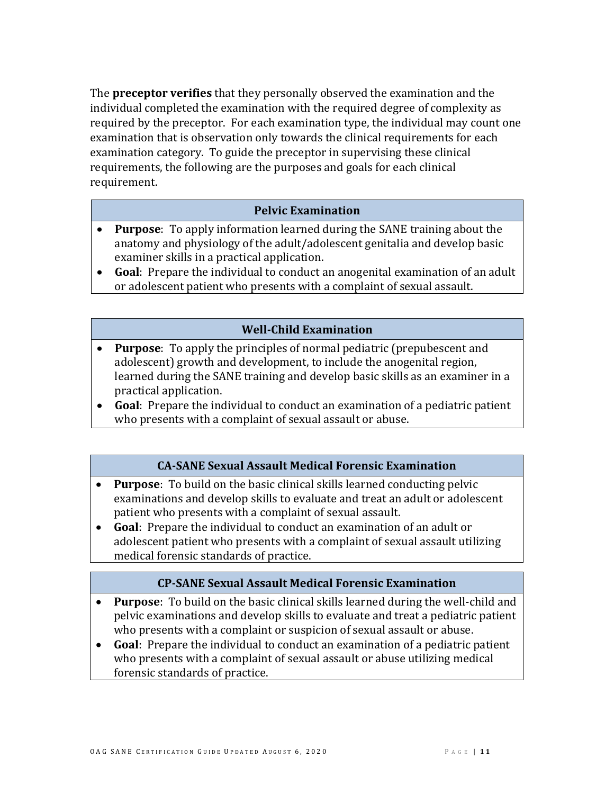The **preceptor verifies** that they personally observed the examination and the individual completed the examination with the required degree of complexity as required by the preceptor. For each examination type, the individual may count one examination that is observation only towards the clinical requirements for each examination category. To guide the preceptor in supervising these clinical requirements, the following are the purposes and goals for each clinical requirement.

#### **Pelvic Examination**

- **Purpose**: To apply information learned during the SANE training about the anatomy and physiology of the adult/adolescent genitalia and develop basic examiner skills in a practical application.
- **Goal**: Prepare the individual to conduct an anogenital examination of an adult or adolescent patient who presents with a complaint of sexual assault.

#### **Well-Child Examination**

- **Purpose**: To apply the principles of normal pediatric (prepubescent and adolescent) growth and development, to include the anogenital region, learned during the SANE training and develop basic skills as an examiner in a practical application.
- **Goal**: Prepare the individual to conduct an examination of a pediatric patient who presents with a complaint of sexual assault or abuse.

#### **CA-SANE Sexual Assault Medical Forensic Examination**

- **Purpose**: To build on the basic clinical skills learned conducting pelvic examinations and develop skills to evaluate and treat an adult or adolescent patient who presents with a complaint of sexual assault.
- **Goal**: Prepare the individual to conduct an examination of an adult or adolescent patient who presents with a complaint of sexual assault utilizing medical forensic standards of practice.

#### **CP-SANE Sexual Assault Medical Forensic Examination**

- **Purpose**: To build on the basic clinical skills learned during the well-child and pelvic examinations and develop skills to evaluate and treat a pediatric patient who presents with a complaint or suspicion of sexual assault or abuse.
- **Goal**: Prepare the individual to conduct an examination of a pediatric patient who presents with a complaint of sexual assault or abuse utilizing medical forensic standards of practice.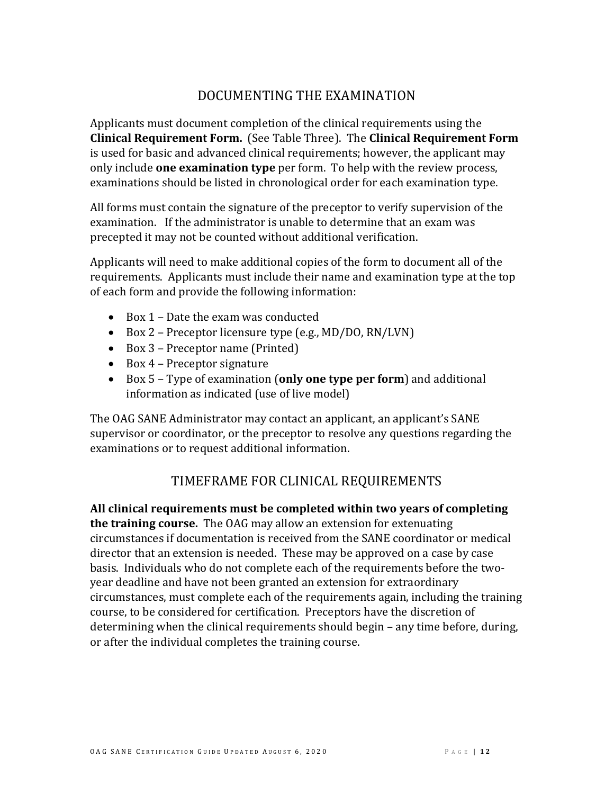### DOCUMENTING THE EXAMINATION

<span id="page-11-0"></span>Applicants must document completion of the clinical requirements using the **Clinical Requirement Form.** (See Table Three). The **Clinical Requirement Form** is used for basic and advanced clinical requirements; however, the applicant may only include **one examination type** per form. To help with the review process, examinations should be listed in chronological order for each examination type.

All forms must contain the signature of the preceptor to verify supervision of the examination. If the administrator is unable to determine that an exam was precepted it may not be counted without additional verification.

Applicants will need to make additional copies of the form to document all of the requirements. Applicants must include their name and examination type at the top of each form and provide the following information:

- Box 1 Date the exam was conducted
- Box 2 Preceptor licensure type (e.g., MD/DO, RN/LVN)
- Box 3 Preceptor name (Printed)
- Box 4 Preceptor signature
- Box 5 Type of examination (**only one type per form**) and additional information as indicated (use of live model)

The OAG SANE Administrator may contact an applicant, an applicant's SANE supervisor or coordinator, or the preceptor to resolve any questions regarding the examinations or to request additional information.

## TIMEFRAME FOR CLINICAL REQUIREMENTS

<span id="page-11-1"></span>**All clinical requirements must be completed within two years of completing the training course.** The OAG may allow an extension for extenuating circumstances if documentation is received from the SANE coordinator or medical director that an extension is needed. These may be approved on a case by case basis. Individuals who do not complete each of the requirements before the twoyear deadline and have not been granted an extension for extraordinary circumstances, must complete each of the requirements again, including the training course, to be considered for certification. Preceptors have the discretion of determining when the clinical requirements should begin – any time before, during, or after the individual completes the training course.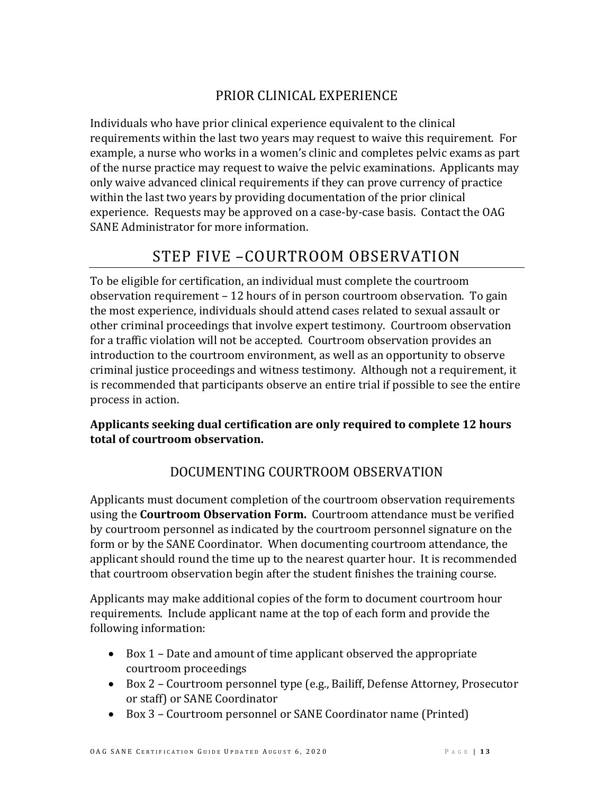## PRIOR CLINICAL EXPERIENCE

<span id="page-12-0"></span>Individuals who have prior clinical experience equivalent to the clinical requirements within the last two years may request to waive this requirement. For example, a nurse who works in a women's clinic and completes pelvic exams as part of the nurse practice may request to waive the pelvic examinations. Applicants may only waive advanced clinical requirements if they can prove currency of practice within the last two years by providing documentation of the prior clinical experience. Requests may be approved on a case-by-case basis. Contact the OAG SANE Administrator for more information.

## STEP FIVE –COURTROOM OBSERVATION

<span id="page-12-1"></span>To be eligible for certification, an individual must complete the courtroom observation requirement – 12 hours of in person courtroom observation. To gain the most experience, individuals should attend cases related to sexual assault or other criminal proceedings that involve expert testimony. Courtroom observation for a traffic violation will not be accepted. Courtroom observation provides an introduction to the courtroom environment, as well as an opportunity to observe criminal justice proceedings and witness testimony. Although not a requirement, it is recommended that participants observe an entire trial if possible to see the entire process in action.

#### **Applicants seeking dual certification are only required to complete 12 hours total of courtroom observation.**

## DOCUMENTING COURTROOM OBSERVATION

<span id="page-12-2"></span>Applicants must document completion of the courtroom observation requirements using the **Courtroom Observation Form.** Courtroom attendance must be verified by courtroom personnel as indicated by the courtroom personnel signature on the form or by the SANE Coordinator. When documenting courtroom attendance, the applicant should round the time up to the nearest quarter hour. It is recommended that courtroom observation begin after the student finishes the training course.

Applicants may make additional copies of the form to document courtroom hour requirements. Include applicant name at the top of each form and provide the following information:

- Box 1 Date and amount of time applicant observed the appropriate courtroom proceedings
- Box 2 Courtroom personnel type (e.g., Bailiff, Defense Attorney, Prosecutor or staff) or SANE Coordinator
- Box 3 Courtroom personnel or SANE Coordinator name (Printed)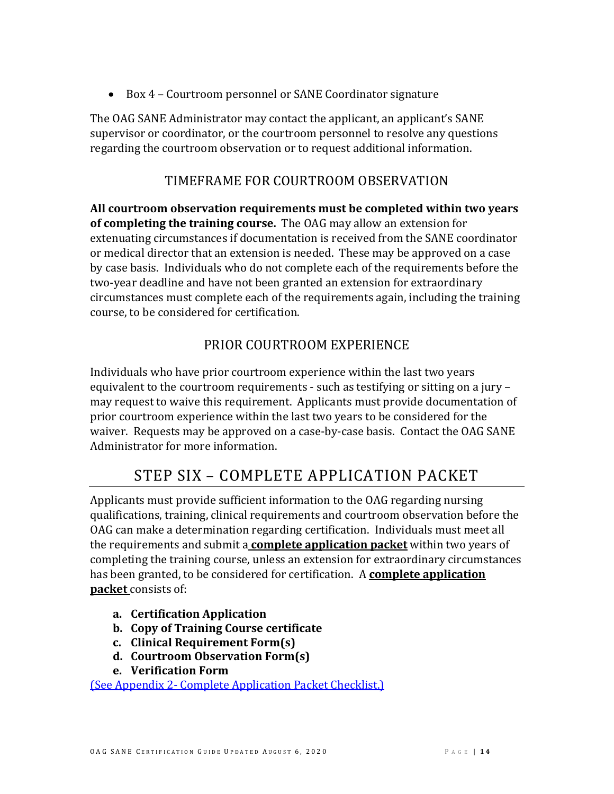• Box 4 – Courtroom personnel or SANE Coordinator signature

The OAG SANE Administrator may contact the applicant, an applicant's SANE supervisor or coordinator, or the courtroom personnel to resolve any questions regarding the courtroom observation or to request additional information.

## TIMEFRAME FOR COURTROOM OBSERVATION

<span id="page-13-0"></span>**All courtroom observation requirements must be completed within two years of completing the training course.** The OAG may allow an extension for extenuating circumstances if documentation is received from the SANE coordinator or medical director that an extension is needed. These may be approved on a case by case basis. Individuals who do not complete each of the requirements before the two-year deadline and have not been granted an extension for extraordinary circumstances must complete each of the requirements again, including the training course, to be considered for certification.

## PRIOR COURTROOM EXPERIENCE

<span id="page-13-1"></span>Individuals who have prior courtroom experience within the last two years equivalent to the courtroom requirements - such as testifying or sitting on a jury – may request to waive this requirement. Applicants must provide documentation of prior courtroom experience within the last two years to be considered for the waiver. Requests may be approved on a case-by-case basis. Contact the OAG SANE Administrator for more information.

## STEP SIX – COMPLETE APPLICATION PACKET

<span id="page-13-2"></span>Applicants must provide sufficient information to the OAG regarding nursing qualifications, training, clinical requirements and courtroom observation before the OAG can make a determination regarding certification. Individuals must meet all the requirements and submit a **complete application packet** within two years of completing the training course, unless an extension for extraordinary circumstances has been granted, to be considered for certification. A **complete application packet** consists of:

- **a. Certification Application**
- **b. Copy of Training Course certificate**
- **c. Clinical Requirement Form(s)**
- **d. Courtroom Observation Form(s)**
- **e. Verification Form**

(See Appendix 2- [Complete Application Packet Checklist.\)](#page-25-0)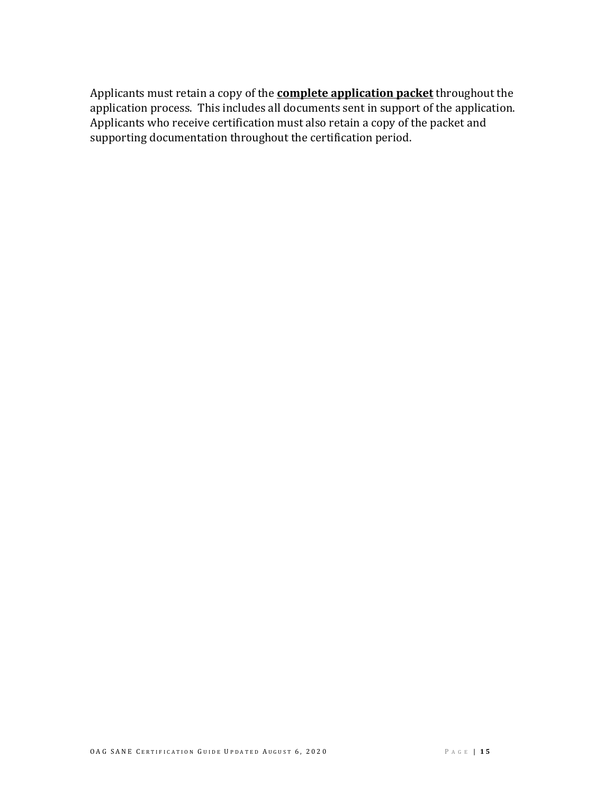Applicants must retain a copy of the **complete application packet** throughout the application process. This includes all documents sent in support of the application. Applicants who receive certification must also retain a copy of the packet and supporting documentation throughout the certification period.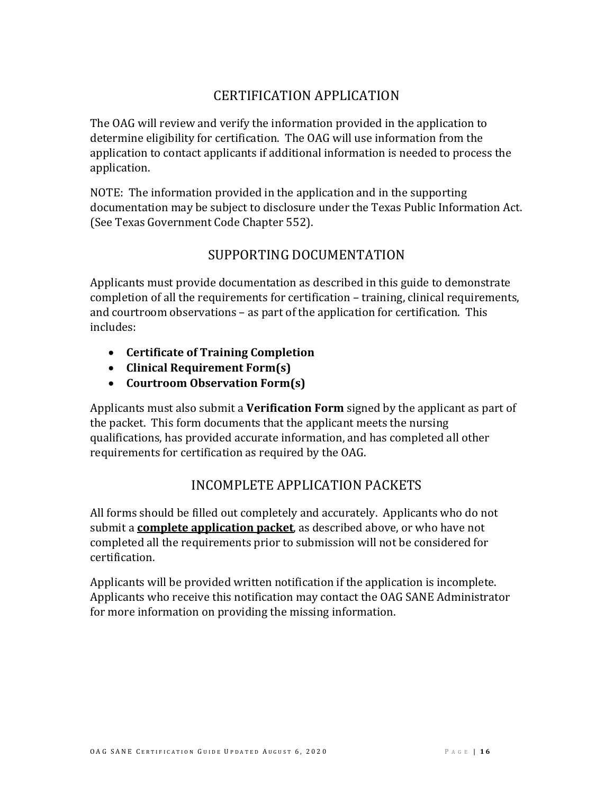### CERTIFICATION APPLICATION

<span id="page-15-0"></span>The OAG will review and verify the information provided in the application to determine eligibility for certification. The OAG will use information from the application to contact applicants if additional information is needed to process the application.

NOTE: The information provided in the application and in the supporting documentation may be subject to disclosure under the Texas Public Information Act. (See Texas Government Code Chapter 552).

#### SUPPORTING DOCUMENTATION

<span id="page-15-1"></span>Applicants must provide documentation as described in this guide to demonstrate completion of all the requirements for certification – training, clinical requirements, and courtroom observations – as part of the application for certification. This includes:

- **Certificate of Training Completion**
- **Clinical Requirement Form(s)**
- **Courtroom Observation Form(s)**

Applicants must also submit a **Verification Form** signed by the applicant as part of the packet. This form documents that the applicant meets the nursing qualifications, has provided accurate information, and has completed all other requirements for certification as required by the OAG.

### INCOMPLETE APPLICATION PACKETS

<span id="page-15-2"></span>All forms should be filled out completely and accurately. Applicants who do not submit a **complete application packet**, as described above, or who have not completed all the requirements prior to submission will not be considered for certification.

Applicants will be provided written notification if the application is incomplete. Applicants who receive this notification may contact the OAG SANE Administrator for more information on providing the missing information.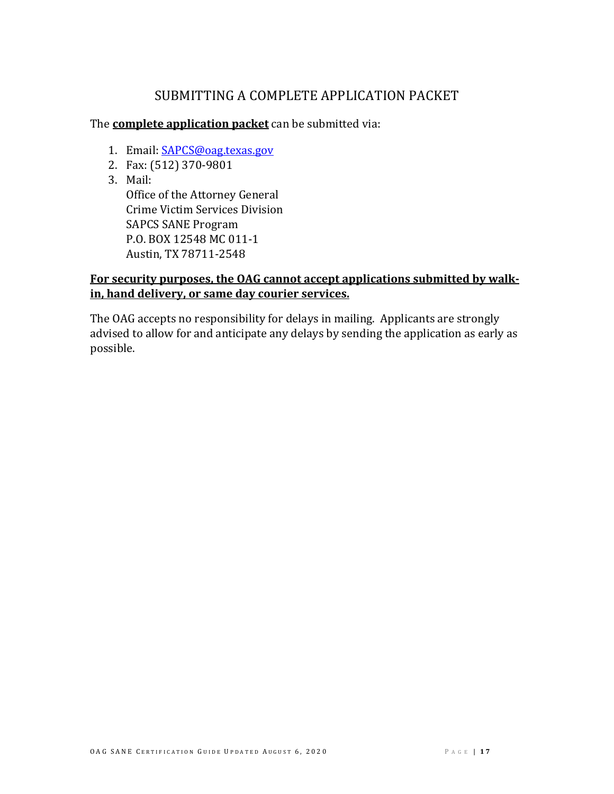## SUBMITTING A COMPLETE APPLICATION PACKET

<span id="page-16-0"></span>The **complete application packet** can be submitted via:

- 1. Email: [SAPCS@oag.texas.gov](mailto:SAPCS@oag.texas.gov)
- 2. Fax: (512) 370-9801
- 3. Mail:

Office of the Attorney General Crime Victim Services Division SAPCS SANE Program P.O. BOX 12548 MC 011-1 Austin, TX 78711-2548

#### **For security purposes, the OAG cannot accept applications submitted by walkin, hand delivery, or same day courier services.**

The OAG accepts no responsibility for delays in mailing. Applicants are strongly advised to allow for and anticipate any delays by sending the application as early as possible.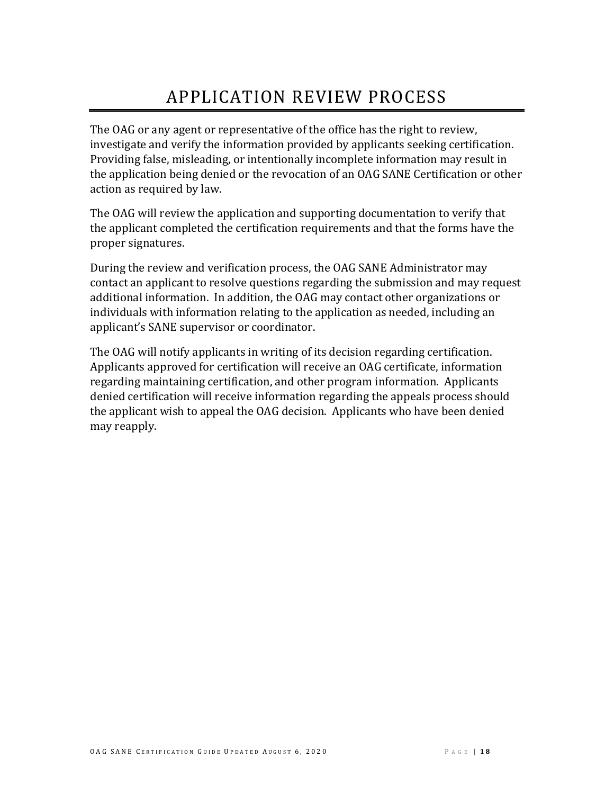# APPLICATION REVIEW PROCESS

<span id="page-17-0"></span>The OAG or any agent or representative of the office has the right to review, investigate and verify the information provided by applicants seeking certification. Providing false, misleading, or intentionally incomplete information may result in the application being denied or the revocation of an OAG SANE Certification or other action as required by law.

The OAG will review the application and supporting documentation to verify that the applicant completed the certification requirements and that the forms have the proper signatures.

During the review and verification process, the OAG SANE Administrator may contact an applicant to resolve questions regarding the submission and may request additional information. In addition, the OAG may contact other organizations or individuals with information relating to the application as needed, including an applicant's SANE supervisor or coordinator.

The OAG will notify applicants in writing of its decision regarding certification. Applicants approved for certification will receive an OAG certificate, information regarding maintaining certification, and other program information. Applicants denied certification will receive information regarding the appeals process should the applicant wish to appeal the OAG decision. Applicants who have been denied may reapply.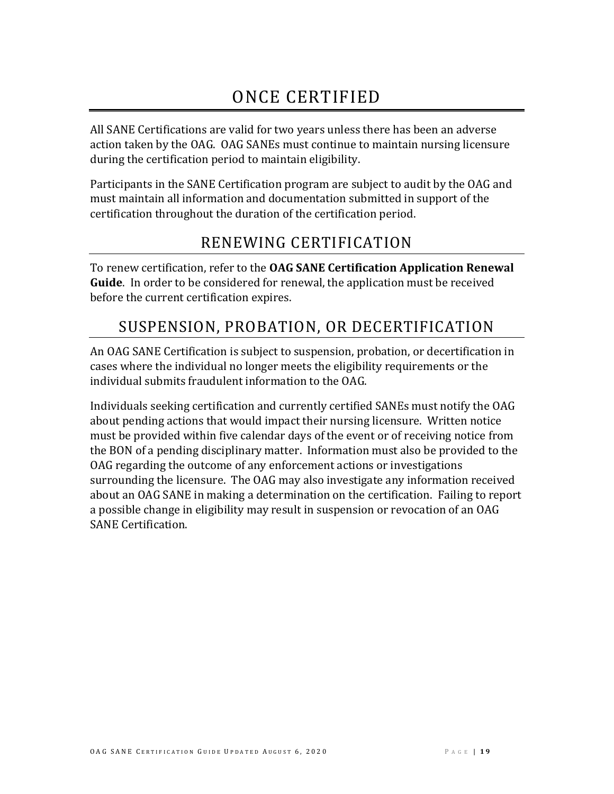# ONCE CERTIFIED

<span id="page-18-0"></span>All SANE Certifications are valid for two years unless there has been an adverse action taken by the OAG. OAG SANEs must continue to maintain nursing licensure during the certification period to maintain eligibility.

Participants in the SANE Certification program are subject to audit by the OAG and must maintain all information and documentation submitted in support of the certification throughout the duration of the certification period.

## RENEWING CERTIFICATION

<span id="page-18-1"></span>To renew certification, refer to the **OAG SANE Certification Application Renewal Guide**. In order to be considered for renewal, the application must be received before the current certification expires.

## <span id="page-18-2"></span>SUSPENSION, PROBATION, OR DECERTIFICATION

An OAG SANE Certification is subject to suspension, probation, or decertification in cases where the individual no longer meets the eligibility requirements or the individual submits fraudulent information to the OAG.

Individuals seeking certification and currently certified SANEs must notify the OAG about pending actions that would impact their nursing licensure. Written notice must be provided within five calendar days of the event or of receiving notice from the BON of a pending disciplinary matter. Information must also be provided to the OAG regarding the outcome of any enforcement actions or investigations surrounding the licensure. The OAG may also investigate any information received about an OAG SANE in making a determination on the certification. Failing to report a possible change in eligibility may result in suspension or revocation of an OAG SANE Certification.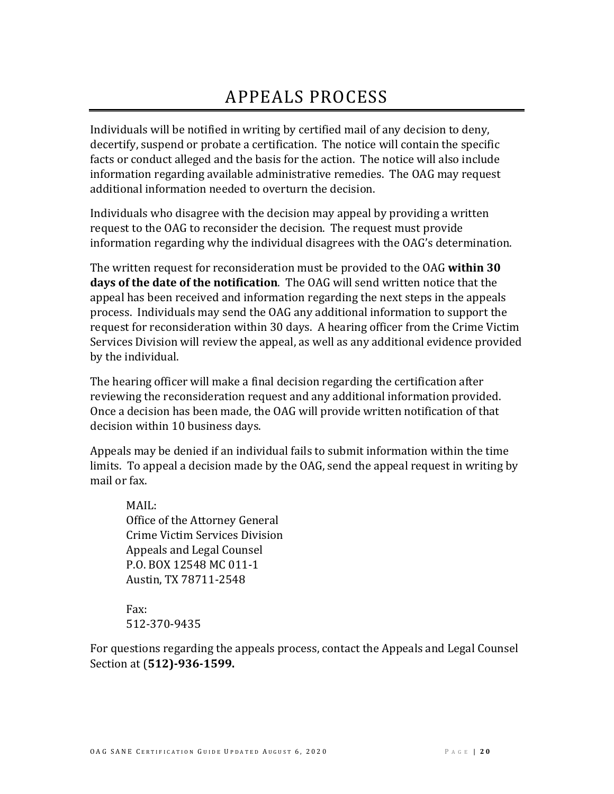# APPEALS PROCESS

<span id="page-19-0"></span>Individuals will be notified in writing by certified mail of any decision to deny, decertify, suspend or probate a certification. The notice will contain the specific facts or conduct alleged and the basis for the action. The notice will also include information regarding available administrative remedies. The OAG may request additional information needed to overturn the decision.

Individuals who disagree with the decision may appeal by providing a written request to the OAG to reconsider the decision. The request must provide information regarding why the individual disagrees with the OAG's determination.

The written request for reconsideration must be provided to the OAG **within 30 days of the date of the notification**. The OAG will send written notice that the appeal has been received and information regarding the next steps in the appeals process. Individuals may send the OAG any additional information to support the request for reconsideration within 30 days. A hearing officer from the Crime Victim Services Division will review the appeal, as well as any additional evidence provided by the individual.

The hearing officer will make a final decision regarding the certification after reviewing the reconsideration request and any additional information provided. Once a decision has been made, the OAG will provide written notification of that decision within 10 business days.

Appeals may be denied if an individual fails to submit information within the time limits. To appeal a decision made by the OAG, send the appeal request in writing by mail or fax.

MAIL: Office of the Attorney General Crime Victim Services Division Appeals and Legal Counsel P.O. BOX 12548 MC 011-1 Austin, TX 78711-2548

Fax: [512-370-9435](mailto:sapcs@texasattorneygeneral.gov?subject=SANE%20Certification%20or%20Re-Certification%20Application%20Packet)

For questions regarding the appeals process, contact the Appeals and Legal Counsel Section at (**512)-936-1599.**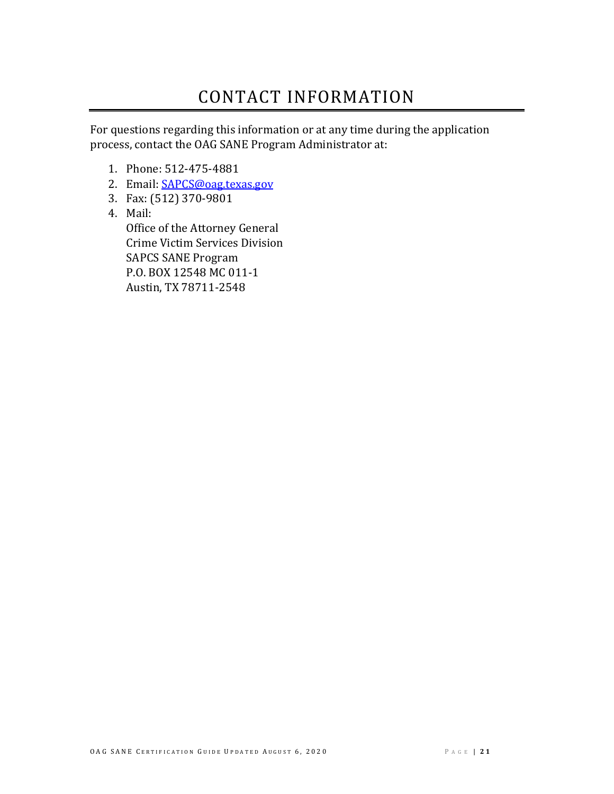# CONTACT INFORMATION

<span id="page-20-0"></span>For questions regarding this information or at any time during the application process, contact the OAG SANE Program Administrator at:

- 1. Phone: 512-475-4881
- 2. Email: [SAPCS@oag.texas.gov](mailto:SAPCS@oag.texas.gov)
- 3. Fax: (512) 370-9801
- 4. Mail:

Office of the Attorney General Crime Victim Services Division SAPCS SANE Program P.O. BOX 12548 MC 011-1 Austin, TX 78711-2548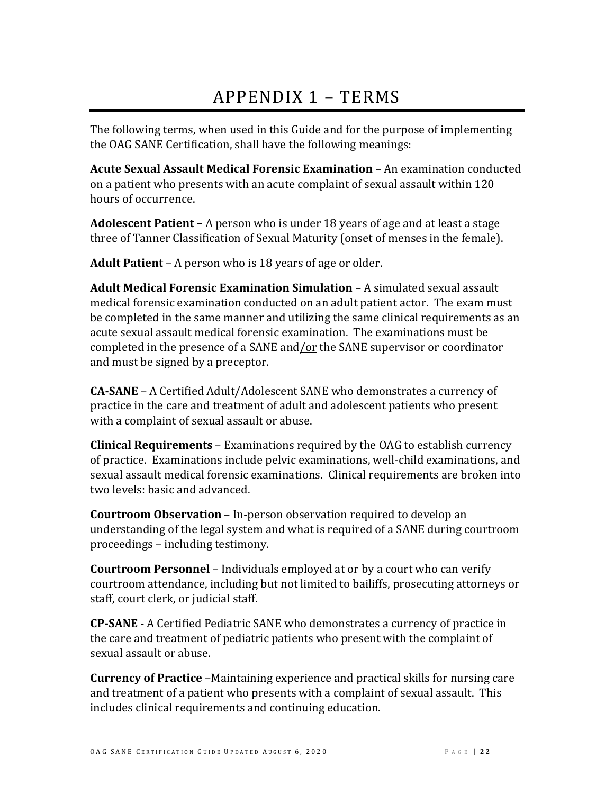# APPENDIX 1 – TERMS

<span id="page-21-0"></span>The following terms, when used in this Guide and for the purpose of implementing the OAG SANE Certification, shall have the following meanings:

**Acute Sexual Assault Medical Forensic Examination** – An examination conducted on a patient who presents with an acute complaint of sexual assault within 120 hours of occurrence.

**Adolescent Patient –** A person who is under 18 years of age and at least a stage three of Tanner Classification of Sexual Maturity (onset of menses in the female).

**Adult Patient** – A person who is 18 years of age or older.

**Adult Medical Forensic Examination Simulation** – A simulated sexual assault medical forensic examination conducted on an adult patient actor. The exam must be completed in the same manner and utilizing the same clinical requirements as an acute sexual assault medical forensic examination. The examinations must be completed in the presence of a SANE and/or the SANE supervisor or coordinator and must be signed by a preceptor.

**CA-SANE** – A Certified Adult/Adolescent SANE who demonstrates a currency of practice in the care and treatment of adult and adolescent patients who present with a complaint of sexual assault or abuse.

**Clinical Requirements** – Examinations required by the OAG to establish currency of practice. Examinations include pelvic examinations, well-child examinations, and sexual assault medical forensic examinations. Clinical requirements are broken into two levels: basic and advanced.

**Courtroom Observation** – In-person observation required to develop an understanding of the legal system and what is required of a SANE during courtroom proceedings – including testimony.

**Courtroom Personnel** – Individuals employed at or by a court who can verify courtroom attendance, including but not limited to bailiffs, prosecuting attorneys or staff, court clerk, or judicial staff.

**CP-SANE** - A Certified Pediatric SANE who demonstrates a currency of practice in the care and treatment of pediatric patients who present with the complaint of sexual assault or abuse.

**Currency of Practice** –Maintaining experience and practical skills for nursing care and treatment of a patient who presents with a complaint of sexual assault. This includes clinical requirements and continuing education.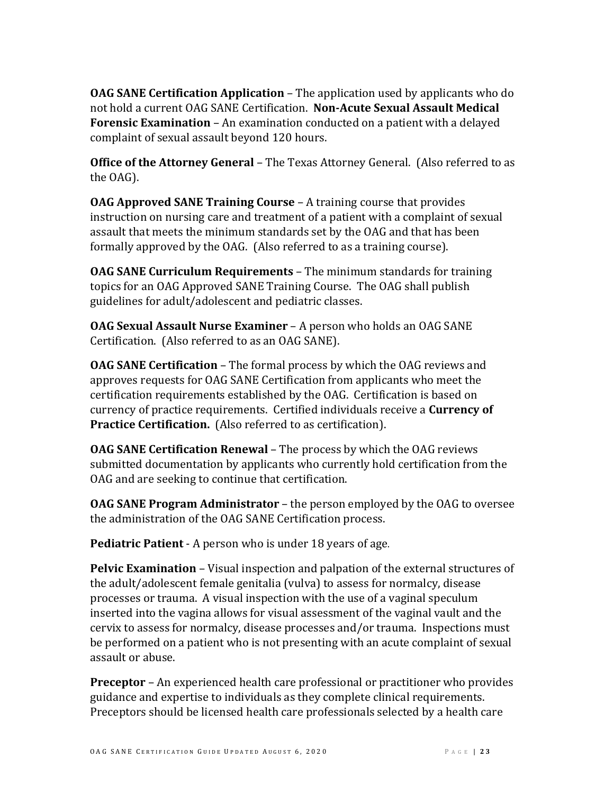**OAG SANE Certification Application** – The application used by applicants who do not hold a current OAG SANE Certification. **Non-Acute Sexual Assault Medical Forensic Examination** – An examination conducted on a patient with a delayed complaint of sexual assault beyond 120 hours.

**Office of the Attorney General** – The Texas Attorney General. (Also referred to as the OAG).

**OAG Approved SANE Training Course** – A training course that provides instruction on nursing care and treatment of a patient with a complaint of sexual assault that meets the minimum standards set by the OAG and that has been formally approved by the OAG. (Also referred to as a training course).

**OAG SANE Curriculum Requirements** – The minimum standards for training topics for an OAG Approved SANE Training Course. The OAG shall publish guidelines for adult/adolescent and pediatric classes.

**OAG Sexual Assault Nurse Examiner** – A person who holds an OAG SANE Certification. (Also referred to as an OAG SANE).

**OAG SANE Certification** – The formal process by which the OAG reviews and approves requests for OAG SANE Certification from applicants who meet the certification requirements established by the OAG. Certification is based on currency of practice requirements. Certified individuals receive a **Currency of Practice Certification.** (Also referred to as certification).

**OAG SANE Certification Renewal** – The process by which the OAG reviews submitted documentation by applicants who currently hold certification from the OAG and are seeking to continue that certification.

**OAG SANE Program Administrator** – the person employed by the OAG to oversee the administration of the OAG SANE Certification process.

**Pediatric Patient** - A person who is under 18 years of age.

**Pelvic Examination** – Visual inspection and palpation of the external structures of the adult/adolescent female genitalia (vulva) to assess for normalcy, disease processes or trauma. A visual inspection with the use of a vaginal speculum inserted into the vagina allows for visual assessment of the vaginal vault and the cervix to assess for normalcy, disease processes and/or trauma. Inspections must be performed on a patient who is not presenting with an acute complaint of sexual assault or abuse.

**Preceptor** – An experienced health care professional or practitioner who provides guidance and expertise to individuals as they complete clinical requirements. Preceptors should be licensed health care professionals selected by a health care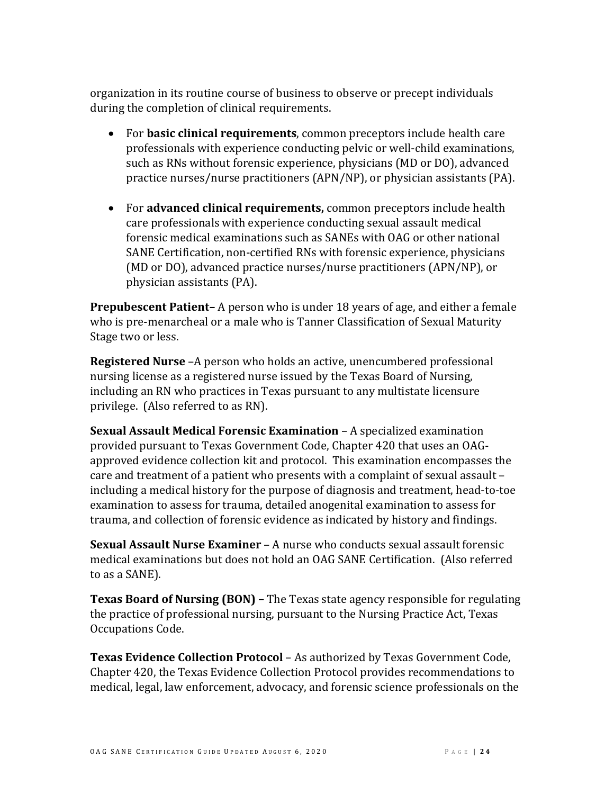organization in its routine course of business to observe or precept individuals during the completion of clinical requirements.

- For **basic clinical requirements**, common preceptors include health care professionals with experience conducting pelvic or well-child examinations, such as RNs without forensic experience, physicians (MD or DO), advanced practice nurses/nurse practitioners (APN/NP), or physician assistants (PA).
- For **advanced clinical requirements,** common preceptors include health care professionals with experience conducting sexual assault medical forensic medical examinations such as SANEs with OAG or other national SANE Certification, non-certified RNs with forensic experience, physicians (MD or DO), advanced practice nurses/nurse practitioners (APN/NP), or physician assistants (PA).

**Prepubescent Patient–** A person who is under 18 years of age, and either a female who is pre-menarcheal or a male who is Tanner Classification of Sexual Maturity Stage two or less.

**Registered Nurse** –A person who holds an active, unencumbered professional nursing license as a registered nurse issued by the Texas Board of Nursing, including an RN who practices in Texas pursuant to any multistate licensure privilege. (Also referred to as RN).

**Sexual Assault Medical Forensic Examination** – A specialized examination provided pursuant to Texas Government Code, Chapter 420 that uses an OAGapproved evidence collection kit and protocol. This examination encompasses the care and treatment of a patient who presents with a complaint of sexual assault – including a medical history for the purpose of diagnosis and treatment, head-to-toe examination to assess for trauma, detailed anogenital examination to assess for trauma, and collection of forensic evidence as indicated by history and findings.

**Sexual Assault Nurse Examiner** – A nurse who conducts sexual assault forensic medical examinations but does not hold an OAG SANE Certification. (Also referred to as a SANE).

**Texas Board of Nursing (BON) –** The Texas state agency responsible for regulating the practice of professional nursing, pursuant to the Nursing Practice Act, Texas Occupations Code.

**Texas Evidence Collection Protocol** – As authorized by Texas Government Code, Chapter 420, the Texas Evidence Collection Protocol provides recommendations to medical, legal, law enforcement, advocacy, and forensic science professionals on the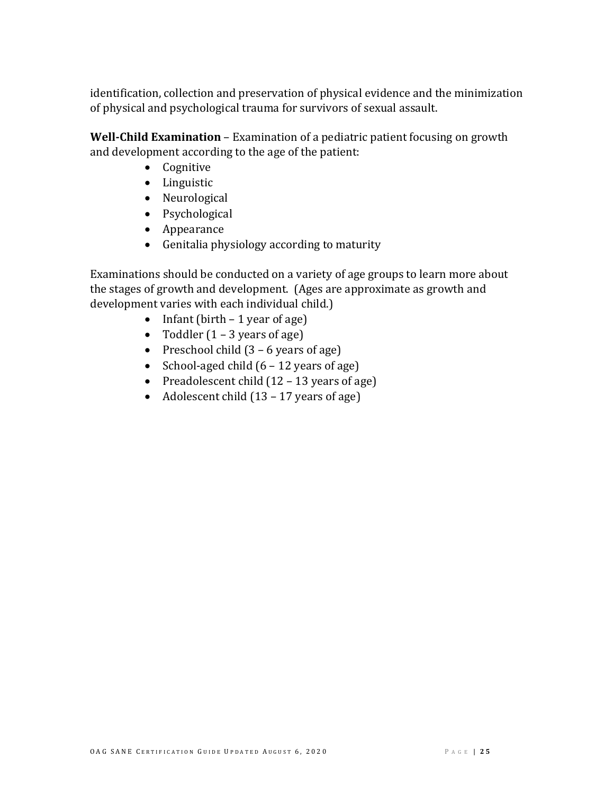identification, collection and preservation of physical evidence and the minimization of physical and psychological trauma for survivors of sexual assault.

**Well-Child Examination** – Examination of a pediatric patient focusing on growth and development according to the age of the patient:

- Cognitive
- Linguistic
- Neurological
- Psychological
- Appearance
- Genitalia physiology according to maturity

Examinations should be conducted on a variety of age groups to learn more about the stages of growth and development. (Ages are approximate as growth and development varies with each individual child.)

- Infant (birth  $-1$  year of age)
- Toddler  $(1 3$  years of age)
- Preschool child  $(3 6$  years of age)
- School-aged child  $(6 12$  years of age)
- Preadolescent child (12 13 years of age)
- Adolescent child (13 17 years of age)